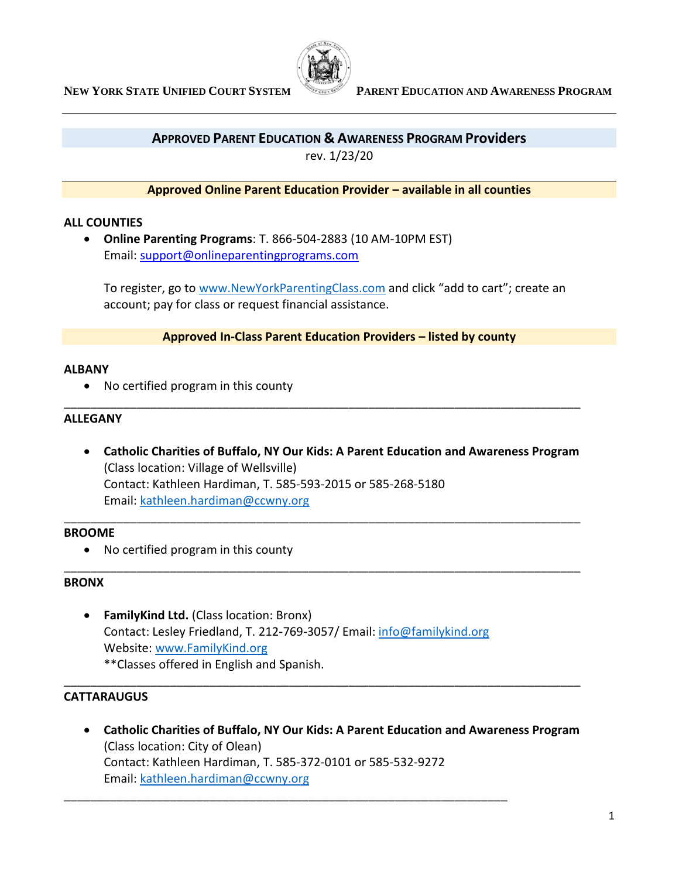

# **APPROVED PARENT EDUCATION & AWARENESS PROGRAM Providers**

rev. 1/23/20

## **Approved Online Parent Education Provider – available in all counties**

## **ALL COUNTIES**

• **Online Parenting Programs**: T. 866-504-2883 (10 AM-10PM EST) Email: [support@onlineparentingprograms.com](mailto:support@onlineparentingprograms.com)

To register, go to [www.NewYorkParentingClass.com](http://www.newyorkparentingclass.com/) and click "add to cart"; create an account; pay for class or request financial assistance.

## **Approved In-Class Parent Education Providers – listed by county**

## **ALBANY**

• No certified program in this county

## **ALLEGANY**

• **Catholic Charities of Buffalo, NY Our Kids: A Parent Education and Awareness Program** (Class location: Village of Wellsville) Contact: Kathleen Hardiman, T. 585-593-2015 or 585-268-5180 Email: [kathleen.hardiman@ccwny.org](mailto:kathleen.hardiman@ccwny.org)

\_\_\_\_\_\_\_\_\_\_\_\_\_\_\_\_\_\_\_\_\_\_\_\_\_\_\_\_\_\_\_\_\_\_\_\_\_\_\_\_\_\_\_\_\_\_\_\_\_\_\_\_\_\_\_\_\_\_\_\_\_\_\_\_\_\_\_\_\_\_\_\_\_\_\_\_\_\_

\_\_\_\_\_\_\_\_\_\_\_\_\_\_\_\_\_\_\_\_\_\_\_\_\_\_\_\_\_\_\_\_\_\_\_\_\_\_\_\_\_\_\_\_\_\_\_\_\_\_\_\_\_\_\_\_\_\_\_\_\_\_\_\_\_\_\_\_\_\_\_\_\_\_\_\_\_\_

\_\_\_\_\_\_\_\_\_\_\_\_\_\_\_\_\_\_\_\_\_\_\_\_\_\_\_\_\_\_\_\_\_\_\_\_\_\_\_\_\_\_\_\_\_\_\_\_\_\_\_\_\_\_\_\_\_\_\_\_\_\_\_\_\_\_\_\_\_\_\_\_\_\_\_\_\_\_

\_\_\_\_\_\_\_\_\_\_\_\_\_\_\_\_\_\_\_\_\_\_\_\_\_\_\_\_\_\_\_\_\_\_\_\_\_\_\_\_\_\_\_\_\_\_\_\_\_\_\_\_\_\_\_\_\_\_\_\_\_\_\_\_\_\_\_\_\_\_\_\_\_\_\_\_\_\_

## **BROOME**

• No certified program in this county

## **BRONX**

• **FamilyKind Ltd.** (Class location: Bronx) Contact: Lesley Friedland, T. 212-769-3057/ Email: [info@familykind.org](mailto:info@familykind.org) Website: [www.FamilyKind.org](http://www.familykind.org/)

\_\_\_\_\_\_\_\_\_\_\_\_\_\_\_\_\_\_\_\_\_\_\_\_\_\_\_\_\_\_\_\_\_\_\_\_\_\_\_\_\_\_\_\_\_\_\_\_\_\_\_\_\_\_\_\_\_\_\_\_\_\_\_\_\_\_\_

\*\*Classes offered in English and Spanish.

# **CATTARAUGUS**

• **Catholic Charities of Buffalo, NY Our Kids: A Parent Education and Awareness Program** (Class location: City of Olean) Contact: Kathleen Hardiman, T. 585-372-0101 or 585-532-9272 Email: [kathleen.hardiman@ccwny.org](mailto:kathleen.hardiman@ccwny.org)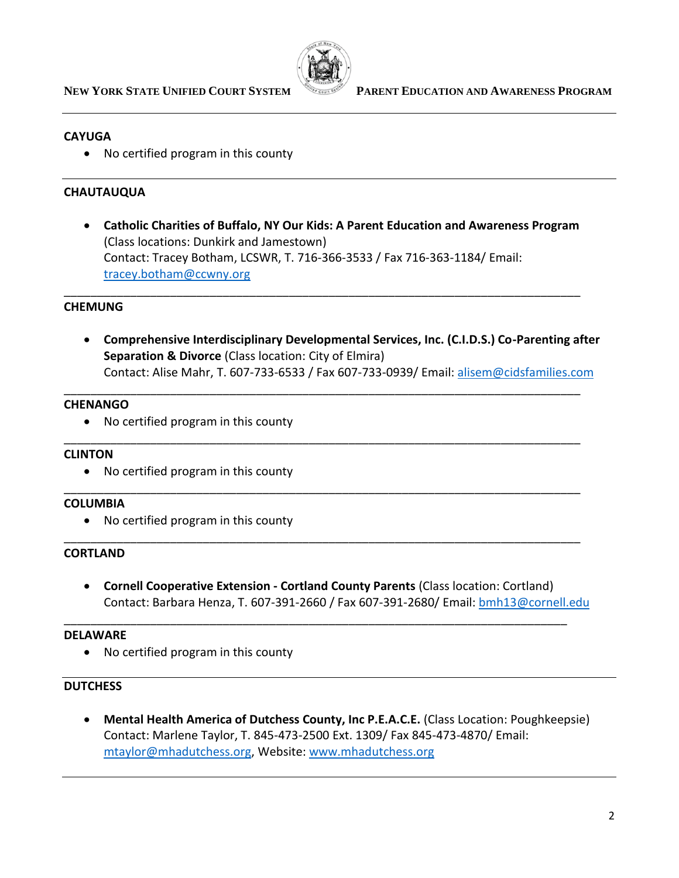

## **CAYUGA**

• No certified program in this county

## **CHAUTAUQUA**

• **Catholic Charities of Buffalo, NY Our Kids: A Parent Education and Awareness Program** (Class locations: Dunkirk and Jamestown) Contact: Tracey Botham, LCSWR, T. 716-366-3533 / Fax 716-363-1184/ Email: [tracey.botham@ccwny.org](mailto:tracey.botham@ccwny.org)

\_\_\_\_\_\_\_\_\_\_\_\_\_\_\_\_\_\_\_\_\_\_\_\_\_\_\_\_\_\_\_\_\_\_\_\_\_\_\_\_\_\_\_\_\_\_\_\_\_\_\_\_\_\_\_\_\_\_\_\_\_\_\_\_\_\_\_\_\_\_\_\_\_\_\_\_\_\_

\_\_\_\_\_\_\_\_\_\_\_\_\_\_\_\_\_\_\_\_\_\_\_\_\_\_\_\_\_\_\_\_\_\_\_\_\_\_\_\_\_\_\_\_\_\_\_\_\_\_\_\_\_\_\_\_\_\_\_\_\_\_\_\_\_\_\_\_\_\_\_\_\_\_\_\_\_\_

\_\_\_\_\_\_\_\_\_\_\_\_\_\_\_\_\_\_\_\_\_\_\_\_\_\_\_\_\_\_\_\_\_\_\_\_\_\_\_\_\_\_\_\_\_\_\_\_\_\_\_\_\_\_\_\_\_\_\_\_\_\_\_\_\_\_\_\_\_\_\_\_\_\_\_\_\_\_

\_\_\_\_\_\_\_\_\_\_\_\_\_\_\_\_\_\_\_\_\_\_\_\_\_\_\_\_\_\_\_\_\_\_\_\_\_\_\_\_\_\_\_\_\_\_\_\_\_\_\_\_\_\_\_\_\_\_\_\_\_\_\_\_\_\_\_\_\_\_\_\_\_\_\_\_\_\_

\_\_\_\_\_\_\_\_\_\_\_\_\_\_\_\_\_\_\_\_\_\_\_\_\_\_\_\_\_\_\_\_\_\_\_\_\_\_\_\_\_\_\_\_\_\_\_\_\_\_\_\_\_\_\_\_\_\_\_\_\_\_\_\_\_\_\_\_\_\_\_\_\_\_\_\_\_\_

\_\_\_\_\_\_\_\_\_\_\_\_\_\_\_\_\_\_\_\_\_\_\_\_\_\_\_\_\_\_\_\_\_\_\_\_\_\_\_\_\_\_\_\_\_\_\_\_\_\_\_\_\_\_\_\_\_\_\_\_\_\_\_\_\_\_\_\_\_\_\_\_\_\_\_\_

# **CHEMUNG**

• **Comprehensive Interdisciplinary Developmental Services, Inc. (C.I.D.S.) Co-Parenting after Separation & Divorce** (Class location: City of Elmira) Contact: Alise Mahr, T. 607-733-6533 / Fax 607-733-0939/ Email: [alisem@cidsfamilies.com](mailto:alisem@cidsfamilies.com)

#### **CHENANGO**

• No certified program in this county

#### **CLINTON**

• No certified program in this county

#### **COLUMBIA**

• No certified program in this county

## **CORTLAND**

• **Cornell Cooperative Extension - Cortland County Parents** (Class location: Cortland) Contact: Barbara Henza, T. 607-391-2660 / Fax 607-391-2680/ Email[: bmh13@cornell.edu](mailto:bmh13@cornell.edu)

#### **DELAWARE**

• No certified program in this county

#### **DUTCHESS**

• **Mental Health America of Dutchess County, Inc P.E.A.C.E.** (Class Location: Poughkeepsie) Contact: Marlene Taylor, T. 845-473-2500 Ext. 1309/ Fax 845-473-4870/ Email: [mtaylor@mhadutchess.org,](mailto:mtaylor@mhadutchess.org) Website[: www.mhadutchess.org](http://www.mhadutchess.org/)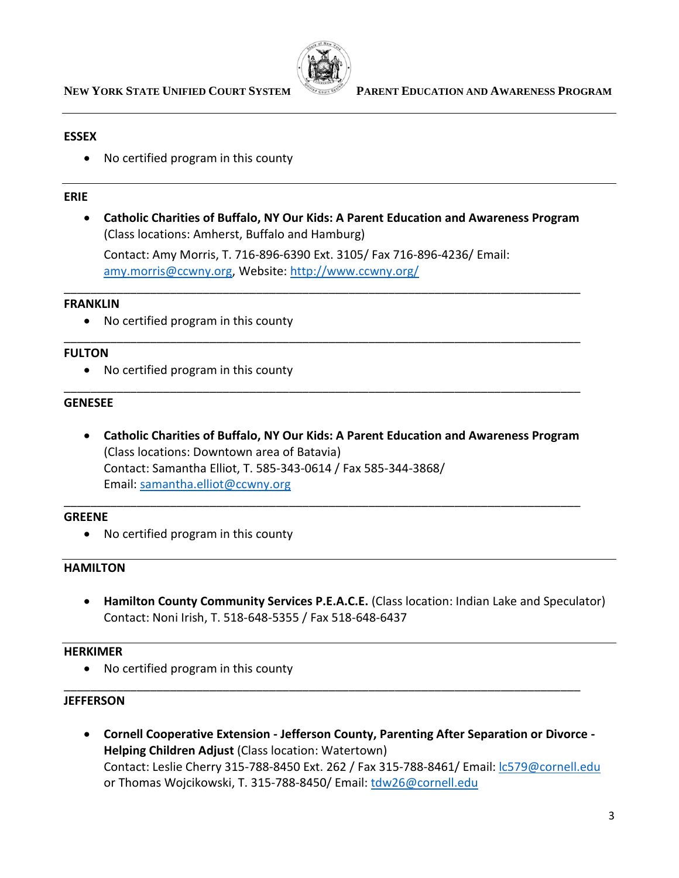

## **ESSEX**

• No certified program in this county

## **ERIE**

• **Catholic Charities of Buffalo, NY Our Kids: A Parent Education and Awareness Program** (Class locations: Amherst, Buffalo and Hamburg)

Contact: Amy Morris, T. 716-896-6390 Ext. 3105/ Fax 716-896-4236/ Email: [amy.morris@ccwny.org,](mailto:amy.morris@ccwny.org) Website:<http://www.ccwny.org/>

\_\_\_\_\_\_\_\_\_\_\_\_\_\_\_\_\_\_\_\_\_\_\_\_\_\_\_\_\_\_\_\_\_\_\_\_\_\_\_\_\_\_\_\_\_\_\_\_\_\_\_\_\_\_\_\_\_\_\_\_\_\_\_\_\_\_\_\_\_\_\_\_\_\_\_\_\_\_

\_\_\_\_\_\_\_\_\_\_\_\_\_\_\_\_\_\_\_\_\_\_\_\_\_\_\_\_\_\_\_\_\_\_\_\_\_\_\_\_\_\_\_\_\_\_\_\_\_\_\_\_\_\_\_\_\_\_\_\_\_\_\_\_\_\_\_\_\_\_\_\_\_\_\_\_\_\_

\_\_\_\_\_\_\_\_\_\_\_\_\_\_\_\_\_\_\_\_\_\_\_\_\_\_\_\_\_\_\_\_\_\_\_\_\_\_\_\_\_\_\_\_\_\_\_\_\_\_\_\_\_\_\_\_\_\_\_\_\_\_\_\_\_\_\_\_\_\_\_\_\_\_\_\_\_\_

## **FRANKLIN**

• No certified program in this county

# **FULTON**

• No certified program in this county

# **GENESEE**

• **Catholic Charities of Buffalo, NY Our Kids: A Parent Education and Awareness Program** (Class locations: Downtown area of Batavia) Contact: Samantha Elliot, T. 585-343-0614 / Fax 585-344-3868/ Email: [samantha.elliot@ccwny.org](mailto:samantha.elliot@ccwny.org)

\_\_\_\_\_\_\_\_\_\_\_\_\_\_\_\_\_\_\_\_\_\_\_\_\_\_\_\_\_\_\_\_\_\_\_\_\_\_\_\_\_\_\_\_\_\_\_\_\_\_\_\_\_\_\_\_\_\_\_\_\_\_\_\_\_\_\_\_\_\_\_\_\_\_\_\_\_\_

# **GREENE**

• No certified program in this county

# **HAMILTON**

• **Hamilton County Community Services P.E.A.C.E.** (Class location: Indian Lake and Speculator) Contact: Noni Irish, T. 518-648-5355 / Fax 518-648-6437

# **HERKIMER**

• No certified program in this county

## **JEFFERSON**

• **Cornell Cooperative Extension - Jefferson County, Parenting After Separation or Divorce - Helping Children Adjust** (Class location: Watertown) Contact: Leslie Cherry 315-788-8450 Ext. 262 / Fax 315-788-8461/ Email: [lc579@cornell.edu](mailto:lc579@cornell.edu) or Thomas Wojcikowski, T. 315-788-8450/ Email: [tdw26@cornell.edu](mailto:tdw26@cornell.edu)

\_\_\_\_\_\_\_\_\_\_\_\_\_\_\_\_\_\_\_\_\_\_\_\_\_\_\_\_\_\_\_\_\_\_\_\_\_\_\_\_\_\_\_\_\_\_\_\_\_\_\_\_\_\_\_\_\_\_\_\_\_\_\_\_\_\_\_\_\_\_\_\_\_\_\_\_\_\_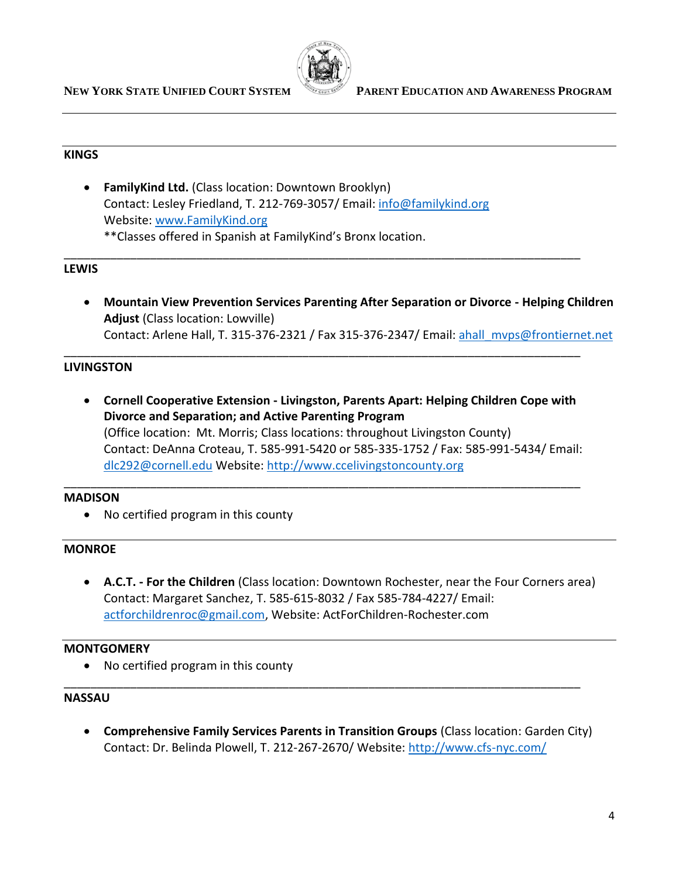

## **KINGS**

• **FamilyKind Ltd.** (Class location: Downtown Brooklyn) Contact: Lesley Friedland, T. 212-769-3057/ Email: [info@familykind.org](mailto:info@familykind.org) Website: [www.FamilyKind.org](http://www.familykind.org/) \*\*Classes offered in Spanish at FamilyKind's Bronx location.

## **LEWIS**

• **Mountain View Prevention Services Parenting After Separation or Divorce - Helping Children Adjust** (Class location: Lowville) Contact: Arlene Hall, T. 315-376-2321 / Fax 315-376-2347/ Email: [ahall\\_mvps@frontiernet.net](mailto:ahall_mvps@frontiernet.net)

\_\_\_\_\_\_\_\_\_\_\_\_\_\_\_\_\_\_\_\_\_\_\_\_\_\_\_\_\_\_\_\_\_\_\_\_\_\_\_\_\_\_\_\_\_\_\_\_\_\_\_\_\_\_\_\_\_\_\_\_\_\_\_\_\_\_\_\_\_\_\_\_\_\_\_\_\_\_

\_\_\_\_\_\_\_\_\_\_\_\_\_\_\_\_\_\_\_\_\_\_\_\_\_\_\_\_\_\_\_\_\_\_\_\_\_\_\_\_\_\_\_\_\_\_\_\_\_\_\_\_\_\_\_\_\_\_\_\_\_\_\_\_\_\_\_\_\_\_\_\_\_\_\_\_\_\_

## **LIVINGSTON**

• **Cornell Cooperative Extension - Livingston, Parents Apart: Helping Children Cope with Divorce and Separation; and Active Parenting Program**  (Office location: Mt. Morris; Class locations: throughout Livingston County) Contact: DeAnna Croteau, T. 585-991-5420 or 585-335-1752 / Fax: 585-991-5434/ Email: [dlc292@cornell.edu](mailto:dlc292@cornell.edu) Website[: http://www.ccelivingstoncounty.org](http://www.ccelivingstoncounty.org/)

\_\_\_\_\_\_\_\_\_\_\_\_\_\_\_\_\_\_\_\_\_\_\_\_\_\_\_\_\_\_\_\_\_\_\_\_\_\_\_\_\_\_\_\_\_\_\_\_\_\_\_\_\_\_\_\_\_\_\_\_\_\_\_\_\_\_\_\_\_\_\_\_\_\_\_\_\_\_

## **MADISON**

• No certified program in this county

## **MONROE**

• **A.C.T. - For the Children** (Class location: Downtown Rochester, near the Four Corners area) Contact: Margaret Sanchez, T. 585-615-8032 / Fax 585-784-4227/ Email: [actforchildrenroc@gmail.com,](mailto:actforchildrenroc@gmail.com) Website: ActForChildren-Rochester.com

## **MONTGOMERY**

• No certified program in this county

#### **NASSAU**

• **Comprehensive Family Services Parents in Transition Groups** (Class location: Garden City) Contact: Dr. Belinda Plowell, T. 212-267-2670/ Website:<http://www.cfs-nyc.com/>

\_\_\_\_\_\_\_\_\_\_\_\_\_\_\_\_\_\_\_\_\_\_\_\_\_\_\_\_\_\_\_\_\_\_\_\_\_\_\_\_\_\_\_\_\_\_\_\_\_\_\_\_\_\_\_\_\_\_\_\_\_\_\_\_\_\_\_\_\_\_\_\_\_\_\_\_\_\_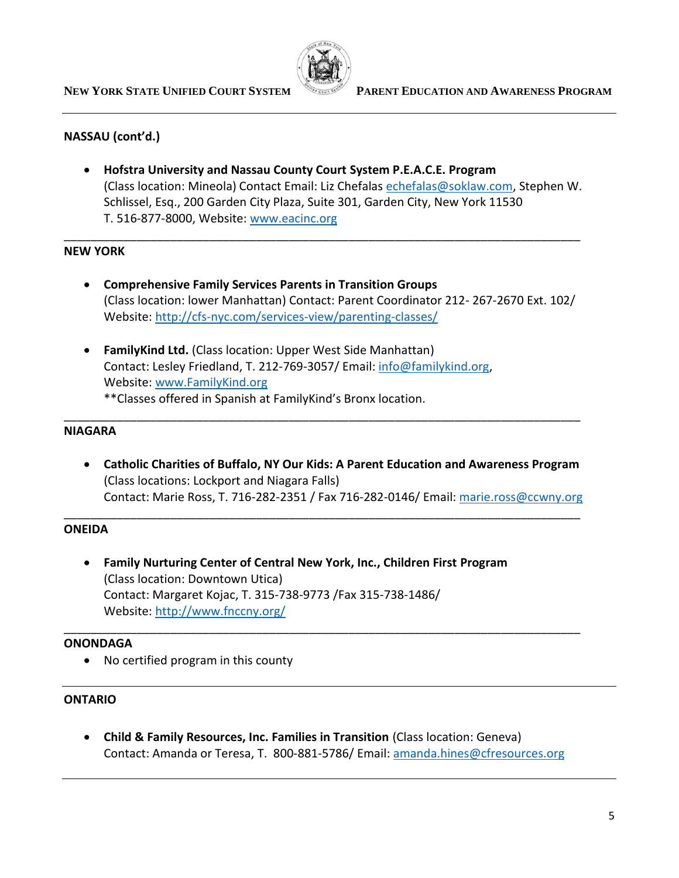

## **NASSAU (cont'd.)**

• **Hofstra University and Nassau County Court System P.E.A.C.E. Program**  (Class location: Mineola) Contact Email: Liz Chefalas [echefalas@soklaw.com,](mailto:echefalas@soklaw.com) Stephen W. Schlissel, Esq., 200 Garden City Plaza, Suite 301, Garden City, New York 11530 T. 516-877-8000, Website: [www.eacinc.org](http://www.eacinc.org/)

\_\_\_\_\_\_\_\_\_\_\_\_\_\_\_\_\_\_\_\_\_\_\_\_\_\_\_\_\_\_\_\_\_\_\_\_\_\_\_\_\_\_\_\_\_\_\_\_\_\_\_\_\_\_\_\_\_\_\_\_\_\_\_\_\_\_\_\_\_\_\_\_\_\_\_\_\_\_

# **NEW YORK**

- **Comprehensive Family Services Parents in Transition Groups** (Class location: lower Manhattan) Contact: Parent Coordinator 212- 267-2670 Ext. 102/ Website:<http://cfs-nyc.com/services-view/parenting-classes/>
- **FamilyKind Ltd.** (Class location: Upper West Side Manhattan) Contact: Lesley Friedland, T. 212-769-3057/ Email: [info@familykind.org,](mailto:info@familykind.org) Website: [www.FamilyKind.org](http://www.familykind.org/) \*\*Classes offered in Spanish at FamilyKind's Bronx location.

#### **NIAGARA**

• **Catholic Charities of Buffalo, NY Our Kids: A Parent Education and Awareness Program** (Class locations: Lockport and Niagara Falls) Contact: Marie Ross, T. 716-282-2351 / Fax 716-282-0146/ Email: [marie.ross@ccwny.org](mailto:marie.ross@ccwny.org) 

\_\_\_\_\_\_\_\_\_\_\_\_\_\_\_\_\_\_\_\_\_\_\_\_\_\_\_\_\_\_\_\_\_\_\_\_\_\_\_\_\_\_\_\_\_\_\_\_\_\_\_\_\_\_\_\_\_\_\_\_\_\_\_\_\_\_\_\_\_\_\_\_\_\_\_\_\_\_

\_\_\_\_\_\_\_\_\_\_\_\_\_\_\_\_\_\_\_\_\_\_\_\_\_\_\_\_\_\_\_\_\_\_\_\_\_\_\_\_\_\_\_\_\_\_\_\_\_\_\_\_\_\_\_\_\_\_\_\_\_\_\_\_\_\_\_\_\_\_\_\_\_\_\_\_\_\_

\_\_\_\_\_\_\_\_\_\_\_\_\_\_\_\_\_\_\_\_\_\_\_\_\_\_\_\_\_\_\_\_\_\_\_\_\_\_\_\_\_\_\_\_\_\_\_\_\_\_\_\_\_\_\_\_\_\_\_\_\_\_\_\_\_\_\_\_\_\_\_\_\_\_\_\_\_\_

## **ONEIDA**

• **Family Nurturing Center of Central New York, Inc., Children First Program** (Class location: Downtown Utica) Contact: Margaret Kojac, T. 315-738-9773 /Fax 315-738-1486/ Website:<http://www.fnccny.org/>

#### **ONONDAGA**

• No certified program in this county

#### **ONTARIO**

• **Child & Family Resources, Inc. Families in Transition** (Class location: Geneva) Contact: Amanda or Teresa, T. 800-881-5786/ Email: [amanda.hines@cfresources.org](mailto:amanda.hines@cfresources.org)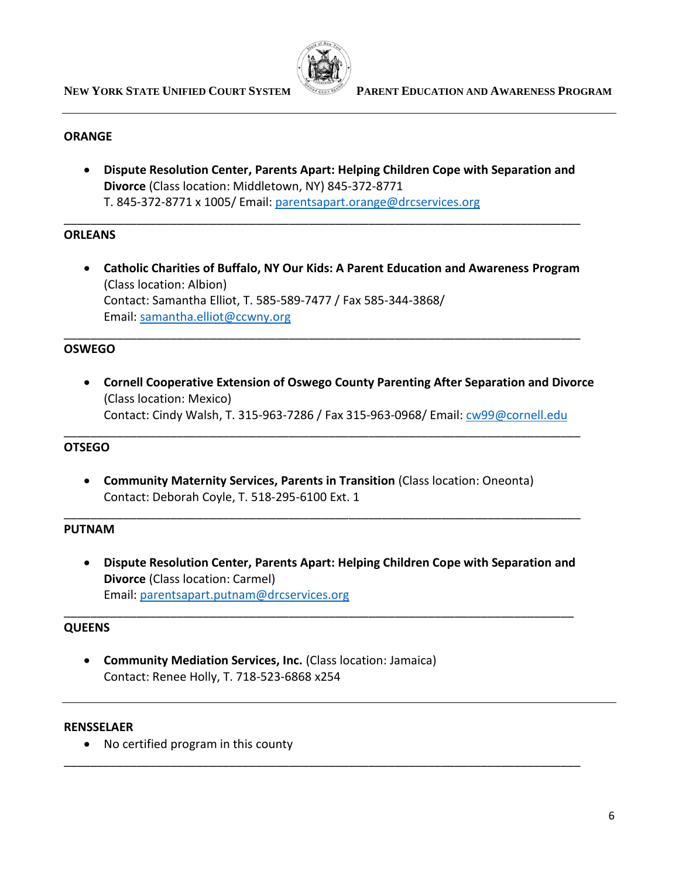

#### **ORANGE**

• **Dispute Resolution Center, Parents Apart: Helping Children Cope with Separation and Divorce** (Class location: Middletown, NY) 845-372-8771 T. 845-372-8771 x 1005/ Email: [parentsapart.orange@drcservices.org](mailto:parentsapart.orange@drcservices.org)

\_\_\_\_\_\_\_\_\_\_\_\_\_\_\_\_\_\_\_\_\_\_\_\_\_\_\_\_\_\_\_\_\_\_\_\_\_\_\_\_\_\_\_\_\_\_\_\_\_\_\_\_\_\_\_\_\_\_\_\_\_\_\_\_\_\_\_\_\_\_\_\_\_\_\_\_\_\_

## **ORLEANS**

• **Catholic Charities of Buffalo, NY Our Kids: A Parent Education and Awareness Program** (Class location: Albion) Contact: Samantha Elliot, T. 585-589-7477 / Fax 585-344-3868/ Email: [samantha.elliot@ccwny.org](mailto:samantha.elliot@ccwny.org)

\_\_\_\_\_\_\_\_\_\_\_\_\_\_\_\_\_\_\_\_\_\_\_\_\_\_\_\_\_\_\_\_\_\_\_\_\_\_\_\_\_\_\_\_\_\_\_\_\_\_\_\_\_\_\_\_\_\_\_\_\_\_\_\_\_\_\_\_\_\_\_\_\_\_\_\_\_\_

\_\_\_\_\_\_\_\_\_\_\_\_\_\_\_\_\_\_\_\_\_\_\_\_\_\_\_\_\_\_\_\_\_\_\_\_\_\_\_\_\_\_\_\_\_\_\_\_\_\_\_\_\_\_\_\_\_\_\_\_\_\_\_\_\_\_\_\_\_\_\_\_\_\_\_\_\_\_

\_\_\_\_\_\_\_\_\_\_\_\_\_\_\_\_\_\_\_\_\_\_\_\_\_\_\_\_\_\_\_\_\_\_\_\_\_\_\_\_\_\_\_\_\_\_\_\_\_\_\_\_\_\_\_\_\_\_\_\_\_\_\_\_\_\_\_\_\_\_\_\_\_\_\_\_\_\_

## **OSWEGO**

• **Cornell Cooperative Extension of Oswego County Parenting After Separation and Divorce**  (Class location: Mexico) Contact: Cindy Walsh, T. 315-963-7286 / Fax 315-963-0968/ Email: [cw99@cornell.edu](mailto:cw99@cornell.edu)

#### **OTSEGO**

• **Community Maternity Services, Parents in Transition** (Class location: Oneonta) Contact: Deborah Coyle, T. 518-295-6100 Ext. 1

#### **PUTNAM**

• **Dispute Resolution Center, Parents Apart: Helping Children Cope with Separation and Divorce** (Class location: Carmel) Email: [parentsapart.putnam@drcservices.org](mailto:parentsapart.putnam@drcservices.org)

\_\_\_\_\_\_\_\_\_\_\_\_\_\_\_\_\_\_\_\_\_\_\_\_\_\_\_\_\_\_\_\_\_\_\_\_\_\_\_\_\_\_\_\_\_\_\_\_\_\_\_\_\_\_\_\_\_\_\_\_\_\_\_\_\_\_\_\_\_\_\_\_\_\_\_\_\_

\_\_\_\_\_\_\_\_\_\_\_\_\_\_\_\_\_\_\_\_\_\_\_\_\_\_\_\_\_\_\_\_\_\_\_\_\_\_\_\_\_\_\_\_\_\_\_\_\_\_\_\_\_\_\_\_\_\_\_\_\_\_\_\_\_\_\_\_\_\_\_\_\_\_\_\_\_\_

## **QUEENS**

• **Community Mediation Services, Inc.** (Class location: Jamaica) Contact: Renee Holly, T. 718-523-6868 x254

#### **RENSSELAER**

• No certified program in this county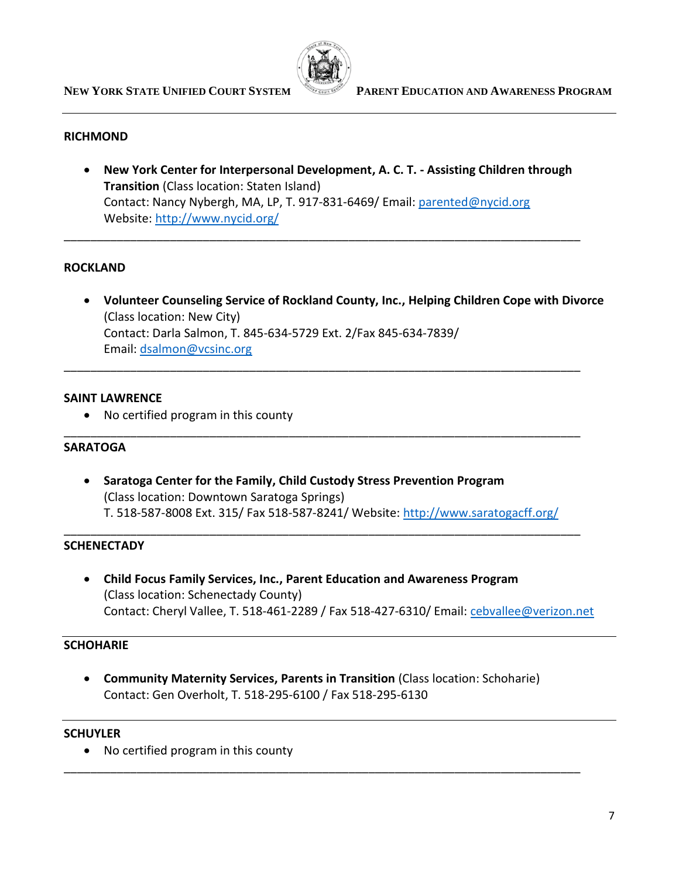

#### **RICHMOND**

• **New York Center for Interpersonal Development, A. C. T. - Assisting Children through Transition** (Class location: Staten Island) Contact: Nancy Nybergh, MA, LP, T. 917-831-6469/ Email: [parented@nycid.org](mailto:parented@nycid.org) Website:<http://www.nycid.org/>

\_\_\_\_\_\_\_\_\_\_\_\_\_\_\_\_\_\_\_\_\_\_\_\_\_\_\_\_\_\_\_\_\_\_\_\_\_\_\_\_\_\_\_\_\_\_\_\_\_\_\_\_\_\_\_\_\_\_\_\_\_\_\_\_\_\_\_\_\_\_\_\_\_\_\_\_\_\_

\_\_\_\_\_\_\_\_\_\_\_\_\_\_\_\_\_\_\_\_\_\_\_\_\_\_\_\_\_\_\_\_\_\_\_\_\_\_\_\_\_\_\_\_\_\_\_\_\_\_\_\_\_\_\_\_\_\_\_\_\_\_\_\_\_\_\_\_\_\_\_\_\_\_\_\_\_\_

\_\_\_\_\_\_\_\_\_\_\_\_\_\_\_\_\_\_\_\_\_\_\_\_\_\_\_\_\_\_\_\_\_\_\_\_\_\_\_\_\_\_\_\_\_\_\_\_\_\_\_\_\_\_\_\_\_\_\_\_\_\_\_\_\_\_\_\_\_\_\_\_\_\_\_\_\_\_

## **ROCKLAND**

• **Volunteer Counseling Service of Rockland County, Inc., Helping Children Cope with Divorce** (Class location: New City) Contact: Darla Salmon, T. 845-634-5729 Ext. 2/Fax 845-634-7839/ Email: [dsalmon@vcsinc.org](mailto:dsalmon@vcsinc.org)

#### **SAINT LAWRENCE**

• No certified program in this county

#### **SARATOGA**

• **Saratoga Center for the Family, Child Custody Stress Prevention Program** (Class location: Downtown Saratoga Springs) T. 518-587-8008 Ext. 315/ Fax 518-587-8241/ Website:<http://www.saratogacff.org/>

\_\_\_\_\_\_\_\_\_\_\_\_\_\_\_\_\_\_\_\_\_\_\_\_\_\_\_\_\_\_\_\_\_\_\_\_\_\_\_\_\_\_\_\_\_\_\_\_\_\_\_\_\_\_\_\_\_\_\_\_\_\_\_\_\_\_\_\_\_\_\_\_\_\_\_\_\_\_

#### **SCHENECTADY**

• **Child Focus Family Services, Inc., Parent Education and Awareness Program** (Class location: Schenectady County) Contact: Cheryl Vallee, T. 518-461-2289 / Fax 518-427-6310/ Email: [cebvallee@verizon.net](mailto:cebvallee@verizon.net)

#### **SCHOHARIE**

• **Community Maternity Services, Parents in Transition** (Class location: Schoharie) Contact: Gen Overholt, T. 518-295-6100 / Fax 518-295-6130

\_\_\_\_\_\_\_\_\_\_\_\_\_\_\_\_\_\_\_\_\_\_\_\_\_\_\_\_\_\_\_\_\_\_\_\_\_\_\_\_\_\_\_\_\_\_\_\_\_\_\_\_\_\_\_\_\_\_\_\_\_\_\_\_\_\_\_\_\_\_\_\_\_\_\_\_\_\_

#### **SCHUYLER**

• No certified program in this county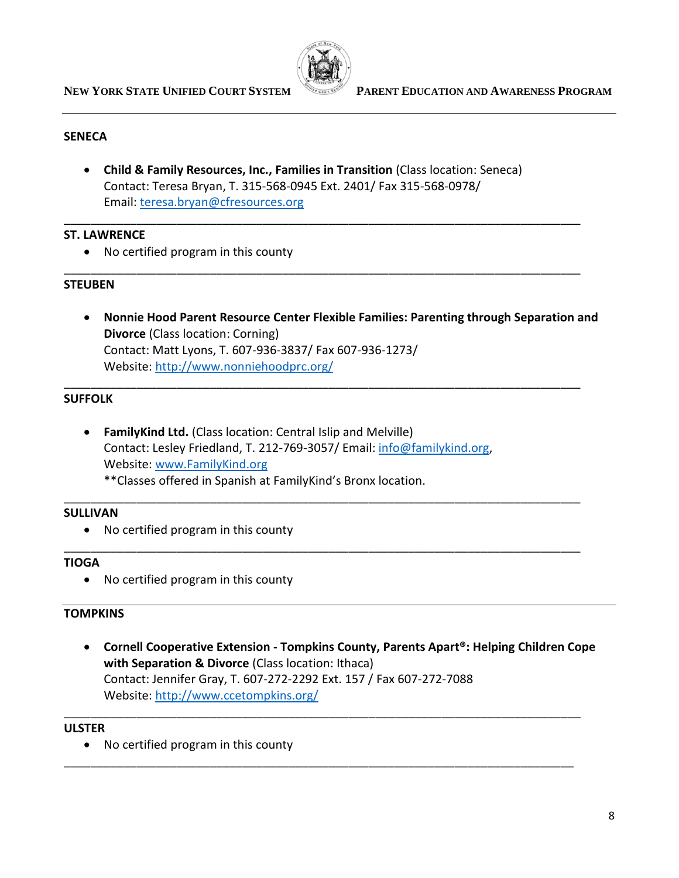

# **SENECA**

• **Child & Family Resources, Inc., Families in Transition** (Class location: Seneca) Contact: Teresa Bryan, T. 315-568-0945 Ext. 2401/ Fax 315-568-0978/ Email: [teresa.bryan@cfresources.org](mailto:teresa.bryan@cfresources.org) 

\_\_\_\_\_\_\_\_\_\_\_\_\_\_\_\_\_\_\_\_\_\_\_\_\_\_\_\_\_\_\_\_\_\_\_\_\_\_\_\_\_\_\_\_\_\_\_\_\_\_\_\_\_\_\_\_\_\_\_\_\_\_\_\_\_\_\_\_\_\_\_\_\_\_\_\_\_\_

\_\_\_\_\_\_\_\_\_\_\_\_\_\_\_\_\_\_\_\_\_\_\_\_\_\_\_\_\_\_\_\_\_\_\_\_\_\_\_\_\_\_\_\_\_\_\_\_\_\_\_\_\_\_\_\_\_\_\_\_\_\_\_\_\_\_\_\_\_\_\_\_\_\_\_\_\_\_

\_\_\_\_\_\_\_\_\_\_\_\_\_\_\_\_\_\_\_\_\_\_\_\_\_\_\_\_\_\_\_\_\_\_\_\_\_\_\_\_\_\_\_\_\_\_\_\_\_\_\_\_\_\_\_\_\_\_\_\_\_\_\_\_\_\_\_\_\_\_\_\_\_\_\_\_\_\_

\_\_\_\_\_\_\_\_\_\_\_\_\_\_\_\_\_\_\_\_\_\_\_\_\_\_\_\_\_\_\_\_\_\_\_\_\_\_\_\_\_\_\_\_\_\_\_\_\_\_\_\_\_\_\_\_\_\_\_\_\_\_\_\_\_\_\_\_\_\_\_\_\_\_\_\_\_\_

\_\_\_\_\_\_\_\_\_\_\_\_\_\_\_\_\_\_\_\_\_\_\_\_\_\_\_\_\_\_\_\_\_\_\_\_\_\_\_\_\_\_\_\_\_\_\_\_\_\_\_\_\_\_\_\_\_\_\_\_\_\_\_\_\_\_\_\_\_\_\_\_\_\_\_\_\_\_

## **ST. LAWRENCE**

• No certified program in this county

## **STEUBEN**

• **Nonnie Hood Parent Resource Center Flexible Families: Parenting through Separation and Divorce** (Class location: Corning) Contact: Matt Lyons, T. 607-936-3837/ Fax 607-936-1273/ Website:<http://www.nonniehoodprc.org/>

## **SUFFOLK**

• **FamilyKind Ltd.** (Class location: Central Islip and Melville) Contact: Lesley Friedland, T. 212-769-3057/ Email: [info@familykind.org,](mailto:info@familykind.org) Website: [www.FamilyKind.org](http://www.familykind.org/) \*\*Classes offered in Spanish at FamilyKind's Bronx location.

## **SULLIVAN**

• No certified program in this county

## **TIOGA**

• No certified program in this county

# **TOMPKINS**

• **Cornell Cooperative Extension - Tompkins County, Parents Apart®: Helping Children Cope with Separation & Divorce** (Class location: Ithaca) Contact: Jennifer Gray, T. 607-272-2292 Ext. 157 / Fax 607-272-7088 Website:<http://www.ccetompkins.org/>

\_\_\_\_\_\_\_\_\_\_\_\_\_\_\_\_\_\_\_\_\_\_\_\_\_\_\_\_\_\_\_\_\_\_\_\_\_\_\_\_\_\_\_\_\_\_\_\_\_\_\_\_\_\_\_\_\_\_\_\_\_\_\_\_\_\_\_\_\_\_\_\_\_\_\_\_\_\_

\_\_\_\_\_\_\_\_\_\_\_\_\_\_\_\_\_\_\_\_\_\_\_\_\_\_\_\_\_\_\_\_\_\_\_\_\_\_\_\_\_\_\_\_\_\_\_\_\_\_\_\_\_\_\_\_\_\_\_\_\_\_\_\_\_\_\_\_\_\_\_\_\_\_\_\_\_

## **ULSTER**

• No certified program in this county